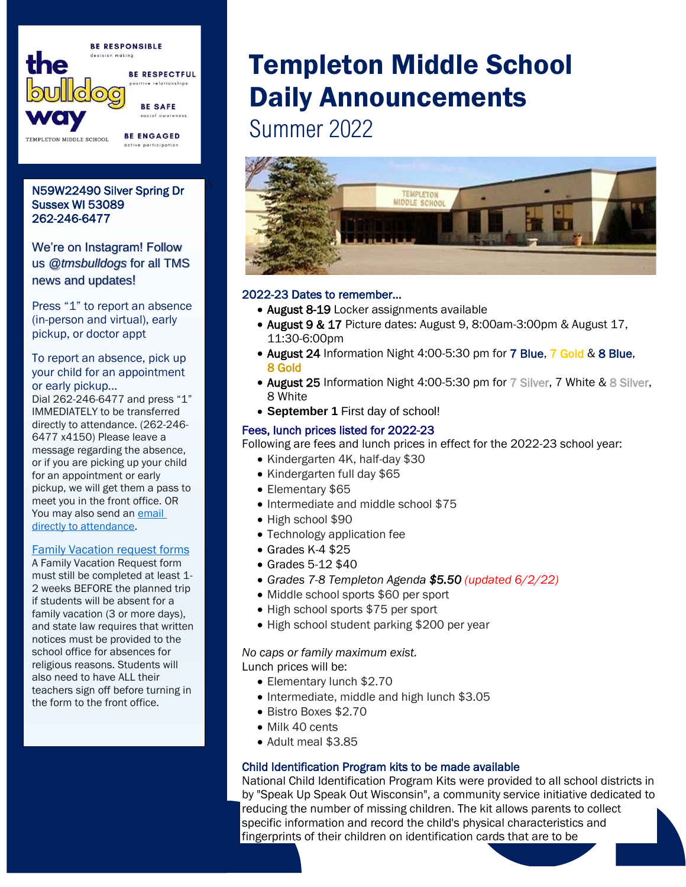

# \\\\\\\\\\\\\\\\\\\\\ N59W22490 Silver Spring Dr Sussex WI 53089 262-246-6477

We're on Instagram! Follow us *@tmsbulldogs* for all TMS news and updates!

Press "1" to report an absence (in-person and virtual), early pickup, or doctor appt

### To report an absence, pick up your child for an appointment or early pickup…

Dial 262-246-6477 and press "1" IMMEDIATELY to be transferred directly to attendance. (262-246- 6477 x4150) Please leave a message regarding the absence, or if you are picking up your child for an appointment or early pickup, we will get them a pass to meet you in the front office. OR You may also send an **email** [directly to attendance.](mailto:templetonattendance@hamilton.k12.wi.us)

#### [Family Vacation request forms](https://drive.google.com/file/d/1T3z7c3ha_b8Xu46BgqkJynl-T44JbkNq/view?usp=sharing)

A Family Vacation Request form must still be completed at least 1- 2 weeks BEFORE the planned trip if students will be absent for a family vacation (3 or more days), and state law requires that written notices must be provided to the school office for absences for religious reasons. Students will also need to have ALL their teachers sign off before turning in the form to the front office.

# Templeton Middle School Daily Announcements

Summer 2022



### 2022-23 Dates to remember...

- August 8-19 Locker assignments available
- August 9 & 17 Picture dates: August 9, 8:00am-3:00pm & August 17, 11:30-6:00pm
- August 24 Information Night 4:00-5:30 pm for 7 Blue, 7 Gold & 8 Blue, 8 Gold
- August 25 Information Night 4:00-5:30 pm for 7 Silver, 7 White & 8 Silver, 8 White
- **September 1** First day of school!

### Fees, lunch prices listed for 2022-23

Following are fees and lunch prices in effect for the 2022-23 school year:

- Kindergarten 4K, half-day \$30
- Kindergarten full day \$65
- Elementary \$65
- Intermediate and middle school \$75
- High school \$90
- Technology application fee
- Grades K-4 \$25
- Grades 5-12 \$40
- *Grades 7-8 Templeton Agenda \$5.50 (updated 6/2/22)*
- Middle school sports \$60 per sport
- High school sports \$75 per sport
- High school student parking \$200 per year

*No caps or family maximum exist.*

Lunch prices will be:

- Elementary lunch \$2.70
- Intermediate, middle and high lunch \$3.05
- Bistro Boxes \$2.70
- Milk 40 cents
- Adult meal \$3.85

## Child Identification Program kits to be made available

National Child Identification Program Kits were provided to all school districts in by "Speak Up Speak Out Wisconsin", a community service initiative dedicated to reducing the number of missing children. The kit allows parents to collect specific information and record the child's physical characteristics and fingerprints of their children on identification cards that are to be